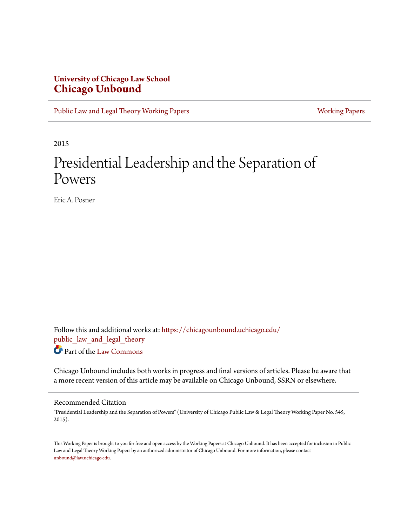## **University of Chicago Law School [Chicago Unbound](https://chicagounbound.uchicago.edu?utm_source=chicagounbound.uchicago.edu%2Fpublic_law_and_legal_theory%2F600&utm_medium=PDF&utm_campaign=PDFCoverPages)**

[Public Law and Legal Theory Working Papers](https://chicagounbound.uchicago.edu/public_law_and_legal_theory?utm_source=chicagounbound.uchicago.edu%2Fpublic_law_and_legal_theory%2F600&utm_medium=PDF&utm_campaign=PDFCoverPages) **[Working Papers](https://chicagounbound.uchicago.edu/working_papers?utm_source=chicagounbound.uchicago.edu%2Fpublic_law_and_legal_theory%2F600&utm_medium=PDF&utm_campaign=PDFCoverPages)** Working Papers

2015

## Presidential Leadership and the Separation of Powers

Eric A. Posner

Follow this and additional works at: [https://chicagounbound.uchicago.edu/](https://chicagounbound.uchicago.edu/public_law_and_legal_theory?utm_source=chicagounbound.uchicago.edu%2Fpublic_law_and_legal_theory%2F600&utm_medium=PDF&utm_campaign=PDFCoverPages) [public\\_law\\_and\\_legal\\_theory](https://chicagounbound.uchicago.edu/public_law_and_legal_theory?utm_source=chicagounbound.uchicago.edu%2Fpublic_law_and_legal_theory%2F600&utm_medium=PDF&utm_campaign=PDFCoverPages) Part of the [Law Commons](http://network.bepress.com/hgg/discipline/578?utm_source=chicagounbound.uchicago.edu%2Fpublic_law_and_legal_theory%2F600&utm_medium=PDF&utm_campaign=PDFCoverPages)

Chicago Unbound includes both works in progress and final versions of articles. Please be aware that a more recent version of this article may be available on Chicago Unbound, SSRN or elsewhere.

## Recommended Citation

"Presidential Leadership and the Separation of Powers" (University of Chicago Public Law & Legal Theory Working Paper No. 545, 2015).

This Working Paper is brought to you for free and open access by the Working Papers at Chicago Unbound. It has been accepted for inclusion in Public Law and Legal Theory Working Papers by an authorized administrator of Chicago Unbound. For more information, please contact [unbound@law.uchicago.edu](mailto:unbound@law.uchicago.edu).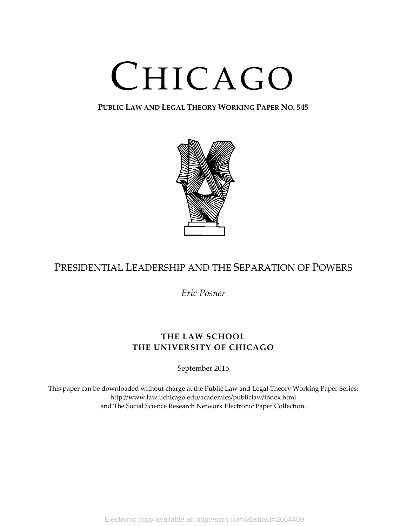# CHICAGO

## **PUBLIC LAW AND LEGAL THEORY WORKING PAPER NO. 545**



## PRESIDENTIAL LEADERSHIP AND THE SEPARATION OF POWERS

*Eric Posner*

## **THE LAW SCHOOL THE UNIVERSITY OF CHICAGO**

September 2015

This paper can be downloaded without charge at the Public Law and Legal Theory Working Paper Series: http://www.law.uchicago.edu/academics/publiclaw/index.html and The Social Science Research Network Electronic Paper Collection.

Electronic copy available at: http://ssrn.com/abstract=2664409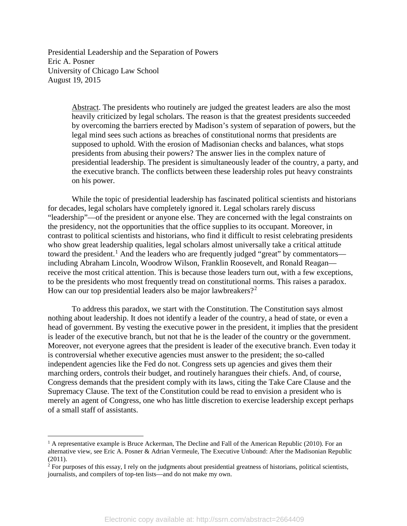Presidential Leadership and the Separation of Powers Eric A. Posner University of Chicago Law School August 19, 2015

> Abstract. The presidents who routinely are judged the greatest leaders are also the most heavily criticized by legal scholars. The reason is that the greatest presidents succeeded by overcoming the barriers erected by Madison's system of separation of powers, but the legal mind sees such actions as breaches of constitutional norms that presidents are supposed to uphold. With the erosion of Madisonian checks and balances, what stops presidents from abusing their powers? The answer lies in the complex nature of presidential leadership. The president is simultaneously leader of the country, a party, and the executive branch. The conflicts between these leadership roles put heavy constraints on his power.

While the topic of presidential leadership has fascinated political scientists and historians for decades, legal scholars have completely ignored it. Legal scholars rarely discuss "leadership"—of the president or anyone else. They are concerned with the legal constraints on the presidency, not the opportunities that the office supplies to its occupant. Moreover, in contrast to political scientists and historians, who find it difficult to resist celebrating presidents who show great leadership qualities, legal scholars almost universally take a critical attitude toward the president.<sup>[1](#page-2-0)</sup> And the leaders who are frequently judged "great" by commentators including Abraham Lincoln, Woodrow Wilson, Franklin Roosevelt, and Ronald Reagan receive the most critical attention. This is because those leaders turn out, with a few exceptions, to be the presidents who most frequently tread on constitutional norms. This raises a paradox. How can our top presidential leaders also be major lawbreakers?<sup>[2](#page-2-1)</sup>

To address this paradox, we start with the Constitution. The Constitution says almost nothing about leadership. It does not identify a leader of the country, a head of state, or even a head of government. By vesting the executive power in the president, it implies that the president is leader of the executive branch, but not that he is the leader of the country or the government. Moreover, not everyone agrees that the president is leader of the executive branch. Even today it is controversial whether executive agencies must answer to the president; the so-called independent agencies like the Fed do not. Congress sets up agencies and gives them their marching orders, controls their budget, and routinely harangues their chiefs. And, of course, Congress demands that the president comply with its laws, citing the Take Care Clause and the Supremacy Clause. The text of the Constitution could be read to envision a president who is merely an agent of Congress, one who has little discretion to exercise leadership except perhaps of a small staff of assistants.

<span id="page-2-0"></span> $1$  A representative example is Bruce Ackerman, The Decline and Fall of the American Republic (2010). For an alternative view, see Eric A. Posner & Adrian Vermeule, The Executive Unbound: After the Madisonian Republic (2011).

<span id="page-2-1"></span> $2$  For purposes of this essay, I rely on the judgments about presidential greatness of historians, political scientists, journalists, and compilers of top-ten lists—and do not make my own.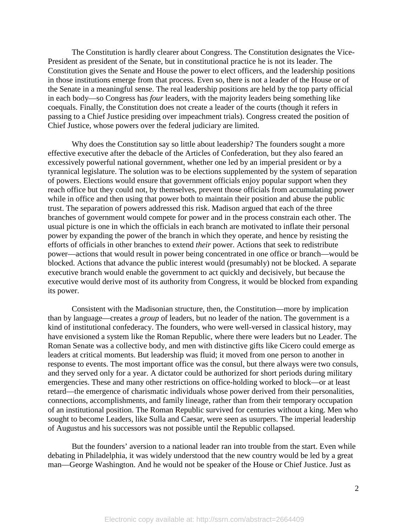The Constitution is hardly clearer about Congress. The Constitution designates the Vice-President as president of the Senate, but in constitutional practice he is not its leader. The Constitution gives the Senate and House the power to elect officers, and the leadership positions in those institutions emerge from that process. Even so, there is not a leader of the House or of the Senate in a meaningful sense. The real leadership positions are held by the top party official in each body—so Congress has *four* leaders, with the majority leaders being something like coequals. Finally, the Constitution does not create a leader of the courts (though it refers in passing to a Chief Justice presiding over impeachment trials). Congress created the position of Chief Justice, whose powers over the federal judiciary are limited.

Why does the Constitution say so little about leadership? The founders sought a more effective executive after the debacle of the Articles of Confederation, but they also feared an excessively powerful national government, whether one led by an imperial president or by a tyrannical legislature. The solution was to be elections supplemented by the system of separation of powers. Elections would ensure that government officials enjoy popular support when they reach office but they could not, by themselves, prevent those officials from accumulating power while in office and then using that power both to maintain their position and abuse the public trust. The separation of powers addressed this risk. Madison argued that each of the three branches of government would compete for power and in the process constrain each other. The usual picture is one in which the officials in each branch are motivated to inflate their personal power by expanding the power of the branch in which they operate, and hence by resisting the efforts of officials in other branches to extend *their* power. Actions that seek to redistribute power—actions that would result in power being concentrated in one office or branch—would be blocked. Actions that advance the public interest would (presumably) not be blocked. A separate executive branch would enable the government to act quickly and decisively, but because the executive would derive most of its authority from Congress, it would be blocked from expanding its power.

Consistent with the Madisonian structure, then, the Constitution—more by implication than by language—creates a *group* of leaders, but no leader of the nation. The government is a kind of institutional confederacy. The founders, who were well-versed in classical history, may have envisioned a system like the Roman Republic, where there were leaders but no Leader. The Roman Senate was a collective body, and men with distinctive gifts like Cicero could emerge as leaders at critical moments. But leadership was fluid; it moved from one person to another in response to events. The most important office was the consul, but there always were two consuls, and they served only for a year. A dictator could be authorized for short periods during military emergencies. These and many other restrictions on office-holding worked to block—or at least retard—the emergence of charismatic individuals whose power derived from their personalities, connections, accomplishments, and family lineage, rather than from their temporary occupation of an institutional position. The Roman Republic survived for centuries without a king. Men who sought to become Leaders, like Sulla and Caesar, were seen as usurpers. The imperial leadership of Augustus and his successors was not possible until the Republic collapsed.

But the founders' aversion to a national leader ran into trouble from the start. Even while debating in Philadelphia, it was widely understood that the new country would be led by a great man—George Washington. And he would not be speaker of the House or Chief Justice. Just as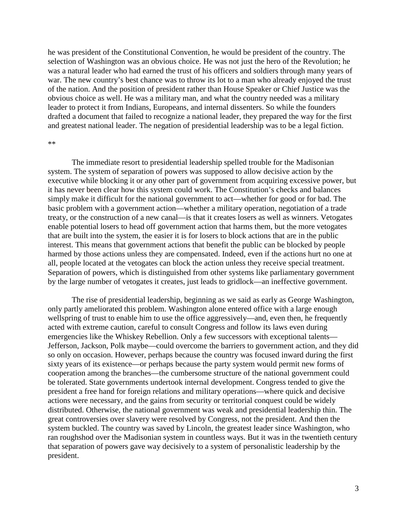he was president of the Constitutional Convention, he would be president of the country. The selection of Washington was an obvious choice. He was not just the hero of the Revolution; he was a natural leader who had earned the trust of his officers and soldiers through many years of war. The new country's best chance was to throw its lot to a man who already enjoyed the trust of the nation. And the position of president rather than House Speaker or Chief Justice was the obvious choice as well. He was a military man, and what the country needed was a military leader to protect it from Indians, Europeans, and internal dissenters. So while the founders drafted a document that failed to recognize a national leader, they prepared the way for the first and greatest national leader. The negation of presidential leadership was to be a legal fiction.

#### \*\*

The immediate resort to presidential leadership spelled trouble for the Madisonian system. The system of separation of powers was supposed to allow decisive action by the executive while blocking it or any other part of government from acquiring excessive power, but it has never been clear how this system could work. The Constitution's checks and balances simply make it difficult for the national government to act—whether for good or for bad. The basic problem with a government action—whether a military operation, negotiation of a trade treaty, or the construction of a new canal—is that it creates losers as well as winners. Vetogates enable potential losers to head off government action that harms them, but the more vetogates that are built into the system, the easier it is for losers to block actions that are in the public interest. This means that government actions that benefit the public can be blocked by people harmed by those actions unless they are compensated. Indeed, even if the actions hurt no one at all, people located at the vetogates can block the action unless they receive special treatment. Separation of powers, which is distinguished from other systems like parliamentary government by the large number of vetogates it creates, just leads to gridlock—an ineffective government.

The rise of presidential leadership, beginning as we said as early as George Washington, only partly ameliorated this problem. Washington alone entered office with a large enough wellspring of trust to enable him to use the office aggressively—and, even then, he frequently acted with extreme caution, careful to consult Congress and follow its laws even during emergencies like the Whiskey Rebellion. Only a few successors with exceptional talents— Jefferson, Jackson, Polk maybe—could overcome the barriers to government action, and they did so only on occasion. However, perhaps because the country was focused inward during the first sixty years of its existence—or perhaps because the party system would permit new forms of cooperation among the branches—the cumbersome structure of the national government could be tolerated. State governments undertook internal development. Congress tended to give the president a free hand for foreign relations and military operations—where quick and decisive actions were necessary, and the gains from security or territorial conquest could be widely distributed. Otherwise, the national government was weak and presidential leadership thin. The great controversies over slavery were resolved by Congress, not the president. And then the system buckled. The country was saved by Lincoln, the greatest leader since Washington, who ran roughshod over the Madisonian system in countless ways. But it was in the twentieth century that separation of powers gave way decisively to a system of personalistic leadership by the president.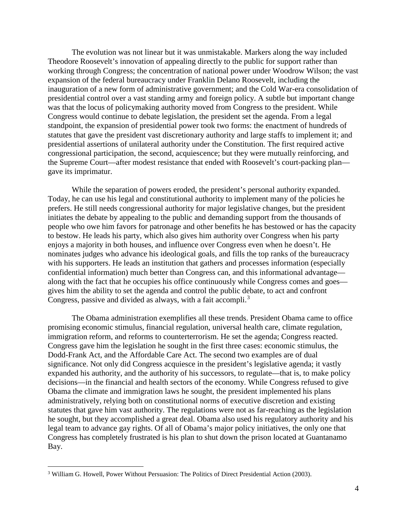The evolution was not linear but it was unmistakable. Markers along the way included Theodore Roosevelt's innovation of appealing directly to the public for support rather than working through Congress; the concentration of national power under Woodrow Wilson; the vast expansion of the federal bureaucracy under Franklin Delano Roosevelt, including the inauguration of a new form of administrative government; and the Cold War-era consolidation of presidential control over a vast standing army and foreign policy. A subtle but important change was that the locus of policymaking authority moved from Congress to the president. While Congress would continue to debate legislation, the president set the agenda. From a legal standpoint, the expansion of presidential power took two forms: the enactment of hundreds of statutes that gave the president vast discretionary authority and large staffs to implement it; and presidential assertions of unilateral authority under the Constitution. The first required active congressional participation, the second, acquiescence; but they were mutually reinforcing, and the Supreme Court—after modest resistance that ended with Roosevelt's court-packing plan gave its imprimatur.

While the separation of powers eroded, the president's personal authority expanded. Today, he can use his legal and constitutional authority to implement many of the policies he prefers. He still needs congressional authority for major legislative changes, but the president initiates the debate by appealing to the public and demanding support from the thousands of people who owe him favors for patronage and other benefits he has bestowed or has the capacity to bestow. He leads his party, which also gives him authority over Congress when his party enjoys a majority in both houses, and influence over Congress even when he doesn't. He nominates judges who advance his ideological goals, and fills the top ranks of the bureaucracy with his supporters. He leads an institution that gathers and processes information (especially confidential information) much better than Congress can, and this informational advantage along with the fact that he occupies his office continuously while Congress comes and goes gives him the ability to set the agenda and control the public debate, to act and confront Congress, passive and divided as always, with a fait accompli.<sup>[3](#page-5-0)</sup>

The Obama administration exemplifies all these trends. President Obama came to office promising economic stimulus, financial regulation, universal health care, climate regulation, immigration reform, and reforms to counterterrorism. He set the agenda; Congress reacted. Congress gave him the legislation he sought in the first three cases: economic stimulus, the Dodd-Frank Act, and the Affordable Care Act. The second two examples are of dual significance. Not only did Congress acquiesce in the president's legislative agenda; it vastly expanded his authority, and the authority of his successors, to regulate—that is, to make policy decisions—in the financial and health sectors of the economy. While Congress refused to give Obama the climate and immigration laws he sought, the president implemented his plans administratively, relying both on constitutional norms of executive discretion and existing statutes that gave him vast authority. The regulations were not as far-reaching as the legislation he sought, but they accomplished a great deal. Obama also used his regulatory authority and his legal team to advance gay rights. Of all of Obama's major policy initiatives, the only one that Congress has completely frustrated is his plan to shut down the prison located at Guantanamo Bay.

<span id="page-5-0"></span> <sup>3</sup> William G. Howell, Power Without Persuasion: The Politics of Direct Presidential Action (2003).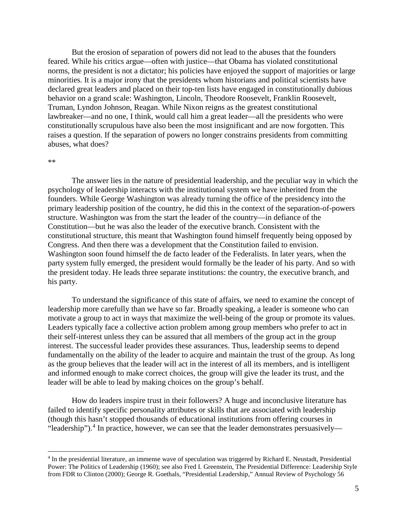But the erosion of separation of powers did not lead to the abuses that the founders feared. While his critics argue—often with justice—that Obama has violated constitutional norms, the president is not a dictator; his policies have enjoyed the support of majorities or large minorities. It is a major irony that the presidents whom historians and political scientists have declared great leaders and placed on their top-ten lists have engaged in constitutionally dubious behavior on a grand scale: Washington, Lincoln, Theodore Roosevelt, Franklin Roosevelt, Truman, Lyndon Johnson, Reagan. While Nixon reigns as the greatest constitutional lawbreaker—and no one, I think, would call him a great leader—all the presidents who were constitutionally scrupulous have also been the most insignificant and are now forgotten. This raises a question. If the separation of powers no longer constrains presidents from committing abuses, what does?

#### \*\*

The answer lies in the nature of presidential leadership, and the peculiar way in which the psychology of leadership interacts with the institutional system we have inherited from the founders. While George Washington was already turning the office of the presidency into the primary leadership position of the country, he did this in the context of the separation-of-powers structure. Washington was from the start the leader of the country—in defiance of the Constitution—but he was also the leader of the executive branch. Consistent with the constitutional structure, this meant that Washington found himself frequently being opposed by Congress. And then there was a development that the Constitution failed to envision. Washington soon found himself the de facto leader of the Federalists. In later years, when the party system fully emerged, the president would formally be the leader of his party. And so with the president today. He leads three separate institutions: the country, the executive branch, and his party.

To understand the significance of this state of affairs, we need to examine the concept of leadership more carefully than we have so far. Broadly speaking, a leader is someone who can motivate a group to act in ways that maximize the well-being of the group or promote its values. Leaders typically face a collective action problem among group members who prefer to act in their self-interest unless they can be assured that all members of the group act in the group interest. The successful leader provides these assurances. Thus, leadership seems to depend fundamentally on the ability of the leader to acquire and maintain the trust of the group. As long as the group believes that the leader will act in the interest of all its members, and is intelligent and informed enough to make correct choices, the group will give the leader its trust, and the leader will be able to lead by making choices on the group's behalf.

How do leaders inspire trust in their followers? A huge and inconclusive literature has failed to identify specific personality attributes or skills that are associated with leadership (though this hasn't stopped thousands of educational institutions from offering courses in "leadership").<sup>[4](#page-6-0)</sup> In practice, however, we can see that the leader demonstrates persuasively—

<span id="page-6-0"></span> <sup>4</sup> In the presidential literature, an immense wave of speculation was triggered by Richard E. Neustadt, Presidential Power: The Politics of Leadership (1960); see also Fred I. Greenstein, The Presidential Difference: Leadership Style from FDR to Clinton (2000); George R. Goethals, "Presidential Leadership," Annual Review of Psychology 56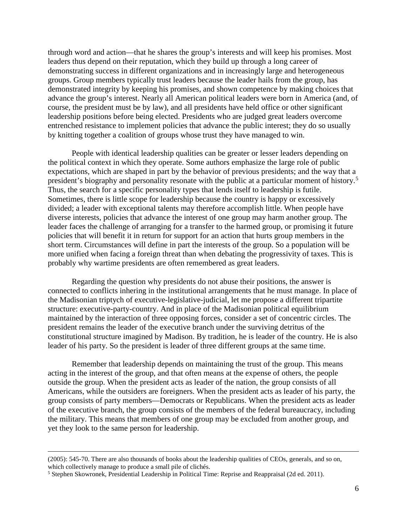through word and action—that he shares the group's interests and will keep his promises. Most leaders thus depend on their reputation, which they build up through a long career of demonstrating success in different organizations and in increasingly large and heterogeneous groups. Group members typically trust leaders because the leader hails from the group, has demonstrated integrity by keeping his promises, and shown competence by making choices that advance the group's interest. Nearly all American political leaders were born in America (and, of course, the president must be by law), and all presidents have held office or other significant leadership positions before being elected. Presidents who are judged great leaders overcome entrenched resistance to implement policies that advance the public interest; they do so usually by knitting together a coalition of groups whose trust they have managed to win.

People with identical leadership qualities can be greater or lesser leaders depending on the political context in which they operate. Some authors emphasize the large role of public expectations, which are shaped in part by the behavior of previous presidents; and the way that a president's biography and personality resonate with the public at a particular moment of history.<sup>[5](#page-7-0)</sup> Thus, the search for a specific personality types that lends itself to leadership is futile. Sometimes, there is little scope for leadership because the country is happy or excessively divided; a leader with exceptional talents may therefore accomplish little. When people have diverse interests, policies that advance the interest of one group may harm another group. The leader faces the challenge of arranging for a transfer to the harmed group, or promising it future policies that will benefit it in return for support for an action that hurts group members in the short term. Circumstances will define in part the interests of the group. So a population will be more unified when facing a foreign threat than when debating the progressivity of taxes. This is probably why wartime presidents are often remembered as great leaders.

Regarding the question why presidents do not abuse their positions, the answer is connected to conflicts inhering in the institutional arrangements that he must manage. In place of the Madisonian triptych of executive-legislative-judicial, let me propose a different tripartite structure: executive-party-country. And in place of the Madisonian political equilibrium maintained by the interaction of three opposing forces, consider a set of concentric circles. The president remains the leader of the executive branch under the surviving detritus of the constitutional structure imagined by Madison. By tradition, he is leader of the country. He is also leader of his party. So the president is leader of three different groups at the same time.

Remember that leadership depends on maintaining the trust of the group. This means acting in the interest of the group, and that often means at the expense of others, the people outside the group. When the president acts as leader of the nation, the group consists of all Americans, while the outsiders are foreigners. When the president acts as leader of his party, the group consists of party members—Democrats or Republicans. When the president acts as leader of the executive branch, the group consists of the members of the federal bureaucracy, including the military. This means that members of one group may be excluded from another group, and yet they look to the same person for leadership.

 <sup>(2005): 545-70.</sup> There are also thousands of books about the leadership qualities of CEOs, generals, and so on, which collectively manage to produce a small pile of clichés.

<span id="page-7-0"></span><sup>5</sup> Stephen Skowronek, Presidential Leadership in Political Time: Reprise and Reappraisal (2d ed. 2011).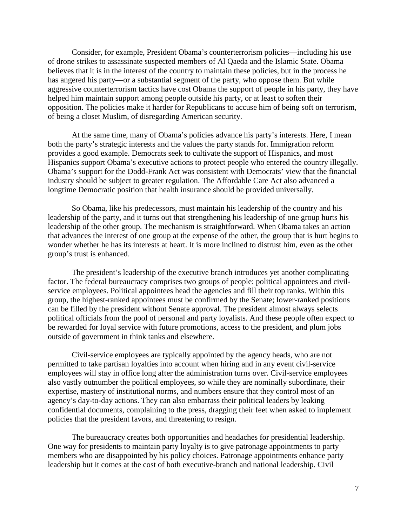Consider, for example, President Obama's counterterrorism policies—including his use of drone strikes to assassinate suspected members of Al Qaeda and the Islamic State. Obama believes that it is in the interest of the country to maintain these policies, but in the process he has angered his party—or a substantial segment of the party, who oppose them. But while aggressive counterterrorism tactics have cost Obama the support of people in his party, they have helped him maintain support among people outside his party, or at least to soften their opposition. The policies make it harder for Republicans to accuse him of being soft on terrorism, of being a closet Muslim, of disregarding American security.

At the same time, many of Obama's policies advance his party's interests. Here, I mean both the party's strategic interests and the values the party stands for. Immigration reform provides a good example. Democrats seek to cultivate the support of Hispanics, and most Hispanics support Obama's executive actions to protect people who entered the country illegally. Obama's support for the Dodd-Frank Act was consistent with Democrats' view that the financial industry should be subject to greater regulation. The Affordable Care Act also advanced a longtime Democratic position that health insurance should be provided universally.

So Obama, like his predecessors, must maintain his leadership of the country and his leadership of the party, and it turns out that strengthening his leadership of one group hurts his leadership of the other group. The mechanism is straightforward. When Obama takes an action that advances the interest of one group at the expense of the other, the group that is hurt begins to wonder whether he has its interests at heart. It is more inclined to distrust him, even as the other group's trust is enhanced.

The president's leadership of the executive branch introduces yet another complicating factor. The federal bureaucracy comprises two groups of people: political appointees and civilservice employees. Political appointees head the agencies and fill their top ranks. Within this group, the highest-ranked appointees must be confirmed by the Senate; lower-ranked positions can be filled by the president without Senate approval. The president almost always selects political officials from the pool of personal and party loyalists. And these people often expect to be rewarded for loyal service with future promotions, access to the president, and plum jobs outside of government in think tanks and elsewhere.

Civil-service employees are typically appointed by the agency heads, who are not permitted to take partisan loyalties into account when hiring and in any event civil-service employees will stay in office long after the administration turns over. Civil-service employees also vastly outnumber the political employees, so while they are nominally subordinate, their expertise, mastery of institutional norms, and numbers ensure that they control most of an agency's day-to-day actions. They can also embarrass their political leaders by leaking confidential documents, complaining to the press, dragging their feet when asked to implement policies that the president favors, and threatening to resign.

The bureaucracy creates both opportunities and headaches for presidential leadership. One way for presidents to maintain party loyalty is to give patronage appointments to party members who are disappointed by his policy choices. Patronage appointments enhance party leadership but it comes at the cost of both executive-branch and national leadership. Civil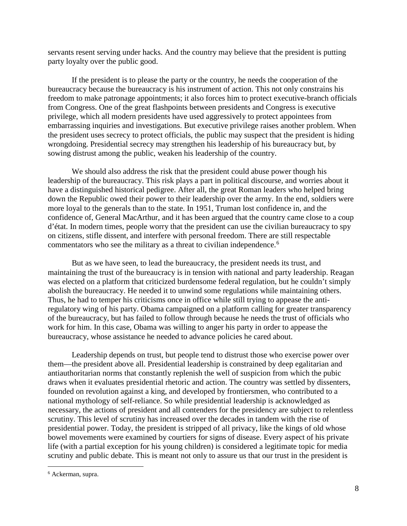servants resent serving under hacks. And the country may believe that the president is putting party loyalty over the public good.

If the president is to please the party or the country, he needs the cooperation of the bureaucracy because the bureaucracy is his instrument of action. This not only constrains his freedom to make patronage appointments; it also forces him to protect executive-branch officials from Congress. One of the great flashpoints between presidents and Congress is executive privilege, which all modern presidents have used aggressively to protect appointees from embarrassing inquiries and investigations. But executive privilege raises another problem. When the president uses secrecy to protect officials, the public may suspect that the president is hiding wrongdoing. Presidential secrecy may strengthen his leadership of his bureaucracy but, by sowing distrust among the public, weaken his leadership of the country.

We should also address the risk that the president could abuse power though his leadership of the bureaucracy. This risk plays a part in political discourse, and worries about it have a distinguished historical pedigree. After all, the great Roman leaders who helped bring down the Republic owed their power to their leadership over the army. In the end, soldiers were more loyal to the generals than to the state. In 1951, Truman lost confidence in, and the confidence of, General MacArthur, and it has been argued that the country came close to a coup d'état. In modern times, people worry that the president can use the civilian bureaucracy to spy on citizens, stifle dissent, and interfere with personal freedom. There are still respectable commentators who see the military as a threat to civilian independence.<sup>[6](#page-9-0)</sup>

But as we have seen, to lead the bureaucracy, the president needs its trust, and maintaining the trust of the bureaucracy is in tension with national and party leadership. Reagan was elected on a platform that criticized burdensome federal regulation, but he couldn't simply abolish the bureaucracy. He needed it to unwind some regulations while maintaining others. Thus, he had to temper his criticisms once in office while still trying to appease the antiregulatory wing of his party. Obama campaigned on a platform calling for greater transparency of the bureaucracy, but has failed to follow through because he needs the trust of officials who work for him. In this case, Obama was willing to anger his party in order to appease the bureaucracy, whose assistance he needed to advance policies he cared about.

Leadership depends on trust, but people tend to distrust those who exercise power over them—the president above all. Presidential leadership is constrained by deep egalitarian and antiauthoritarian norms that constantly replenish the well of suspicion from which the pubic draws when it evaluates presidential rhetoric and action. The country was settled by dissenters, founded on revolution against a king, and developed by frontiersmen, who contributed to a national mythology of self-reliance. So while presidential leadership is acknowledged as necessary, the actions of president and all contenders for the presidency are subject to relentless scrutiny. This level of scrutiny has increased over the decades in tandem with the rise of presidential power. Today, the president is stripped of all privacy, like the kings of old whose bowel movements were examined by courtiers for signs of disease. Every aspect of his private life (with a partial exception for his young children) is considered a legitimate topic for media scrutiny and public debate. This is meant not only to assure us that our trust in the president is

<span id="page-9-0"></span> <sup>6</sup> Ackerman, supra.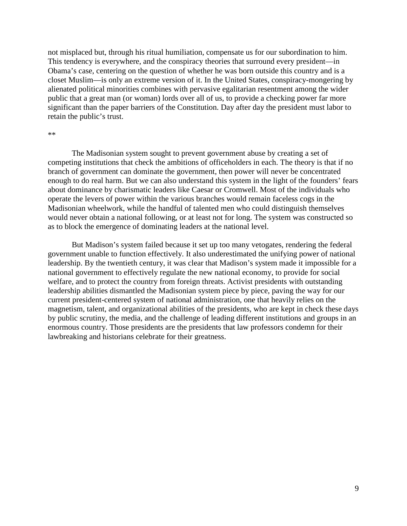not misplaced but, through his ritual humiliation, compensate us for our subordination to him. This tendency is everywhere, and the conspiracy theories that surround every president—in Obama's case, centering on the question of whether he was born outside this country and is a closet Muslim—is only an extreme version of it. In the United States, conspiracy-mongering by alienated political minorities combines with pervasive egalitarian resentment among the wider public that a great man (or woman) lords over all of us, to provide a checking power far more significant than the paper barriers of the Constitution. Day after day the president must labor to retain the public's trust.

#### \*\*

The Madisonian system sought to prevent government abuse by creating a set of competing institutions that check the ambitions of officeholders in each. The theory is that if no branch of government can dominate the government, then power will never be concentrated enough to do real harm. But we can also understand this system in the light of the founders' fears about dominance by charismatic leaders like Caesar or Cromwell. Most of the individuals who operate the levers of power within the various branches would remain faceless cogs in the Madisonian wheelwork, while the handful of talented men who could distinguish themselves would never obtain a national following, or at least not for long. The system was constructed so as to block the emergence of dominating leaders at the national level.

But Madison's system failed because it set up too many vetogates, rendering the federal government unable to function effectively. It also underestimated the unifying power of national leadership. By the twentieth century, it was clear that Madison's system made it impossible for a national government to effectively regulate the new national economy, to provide for social welfare, and to protect the country from foreign threats. Activist presidents with outstanding leadership abilities dismantled the Madisonian system piece by piece, paving the way for our current president-centered system of national administration, one that heavily relies on the magnetism, talent, and organizational abilities of the presidents, who are kept in check these days by public scrutiny, the media, and the challenge of leading different institutions and groups in an enormous country. Those presidents are the presidents that law professors condemn for their lawbreaking and historians celebrate for their greatness.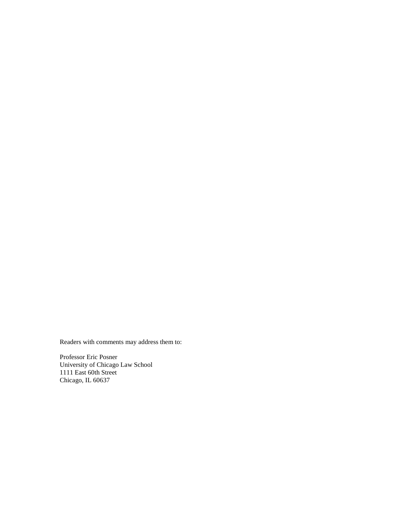Readers with comments may address them to:

Professor Eric Posner University of Chicago Law School 1111 East 60th Street Chicago, IL 60637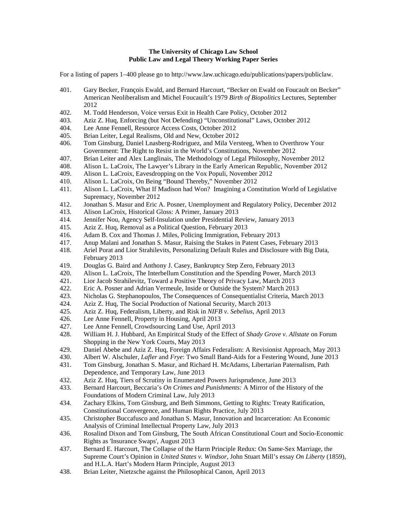## **The University of Chicago Law School Public Law and Legal Theory Working Paper Series**

For a listing of papers 1–400 please go to http://www.law.uchicago.edu/publications/papers/publiclaw.

- 401. Gary Becker, François Ewald, and Bernard Harcourt, "Becker on Ewald on Foucault on Becker" American Neoliberalism and Michel Foucauilt's 1979 *Birth of Biopolitics* Lectures, September 2012
- 402. M. Todd Henderson, Voice versus Exit in Health Care Policy, October 2012
- 403. Aziz Z. Huq, Enforcing (but Not Defending) "Unconstitutional" Laws, October 2012
- 404. Lee Anne Fennell, Resource Access Costs, October 2012
- 405. Brian Leiter, Legal Realisms, Old and New, October 2012
- 406. Tom Ginsburg, Daniel Lnasberg-Rodriguez, and Mila Versteeg, When to Overthrow Your Government: The Right to Resist in the World's Constitutions, November 2012
- 407. Brian Leiter and Alex Langlinais, The Methodology of Legal Philosophy, November 2012
- 408. Alison L. LaCroix, The Lawyer's Library in the Early American Republic, November 2012
- 409. Alison L. LaCroix, Eavesdropping on the Vox Populi, November 2012
- 410. Alison L. LaCroix, On Being "Bound Thereby," November 2012
- 411. Alison L. LaCroix, What If Madison had Won? Imagining a Constitution World of Legislative Supremacy, November 2012
- 412. Jonathan S. Masur and Eric A. Posner, Unemployment and Regulatory Policy, December 2012
- 413. Alison LaCroix, Historical Gloss: A Primer, January 2013
- 414. Jennifer Nou, Agency Self-Insulation under Presidential Review, January 2013
- 415. Aziz Z. Huq, Removal as a Political Question, February 2013
- 416. Adam B. Cox and Thomas J. Miles, Policing Immigration, February 2013<br>417. Anup Malani and Jonathan S. Masur. Raising the Stakes in Patent Cases. I
- 417. Anup Malani and Jonathan S. Masur, Raising the Stakes in Patent Cases, February 2013
- 418. Ariel Porat and Lior Strahilevits, Personalizing Default Rules and Disclosure with Big Data, February 2013
- 419. Douglas G. Baird and Anthony J. Casey, Bankruptcy Step Zero, February 2013
- 420. Alison L. LaCroix, The Interbellum Constitution and the Spending Power, March 2013
- 421. Lior Jacob Strahilevitz, Toward a Positive Theory of Privacy Law, March 2013<br>422. Eric A. Posner and Adrian Vermeule, Inside or Outside the System? March 2013
- Eric A. Posner and Adrian Vermeule, Inside or Outside the System? March 2013
- 423. Nicholas G. Stephanopoulos, The Consequences of Consequentialist Criteria, March 2013
- 424. Aziz Z. Huq, The Social Production of National Security, March 2013<br>425. Aziz Z. Huq, Federalism, Liberty, and Risk in *NIFB v. Sebelius*, April?
- 425. Aziz Z. Huq, Federalism, Liberty, and Risk in *NIFB v. Sebelius*, April 2013
- 426. Lee Anne Fennell, Property in Housing, April 2013
- 427. Lee Anne Fennell, Crowdsourcing Land Use, April 2013
- 428. William H. J. Hubbard, An Empiritcal Study of the Effect of *Shady Grove v. Allstate* on Forum Shopping in the New York Courts, May 2013
- 429. Daniel Abebe and Aziz Z. Huq, Foreign Affairs Federalism: A Revisionist Approach, May 2013
- 430. Albert W. Alschuler, *Lafler* and *Frye*: Two Small Band-Aids for a Festering Wound, June 2013
- 431. Tom Ginsburg, Jonathan S. Masur, and Richard H. McAdams, Libertarian Paternalism, Path Dependence, and Temporary Law, June 2013
- 432. Aziz Z. Huq, Tiers of Scrutiny in Enumerated Powers Jurisprudence, June 2013
- 433. Bernard Harcourt, Beccaria's *On Crimes and Punishments:* A Mirror of the History of the Foundations of Modern Criminal Law, July 2013
- 434. Zachary Elkins, Tom Ginsburg, and Beth Simmons, Getting to Rights: Treaty Ratification, Constitutional Convergence, and Human Rights Practice, July 2013
- 435. Christopher Buccafusco and Jonathan S. Masur, Innovation and Incarceration: An Economic Analysis of Criminal Intellectual Property Law, July 2013
- 436. Rosalind Dixon and Tom Ginsburg, The South African Constitutional Court and Socio-Economic Rights as 'Insurance Swaps', August 2013
- 437. Bernard E. Harcourt, The Collapse of the Harm Principle Redux: On Same-Sex Marriage, the Supreme Court's Opinion in *United States v. Windsor,* John Stuart Mill's essay *On Liberty* (1859), and H.L.A. Hart's Modern Harm Principle, August 2013
- 438. Brian Leiter, Nietzsche against the Philosophical Canon, April 2013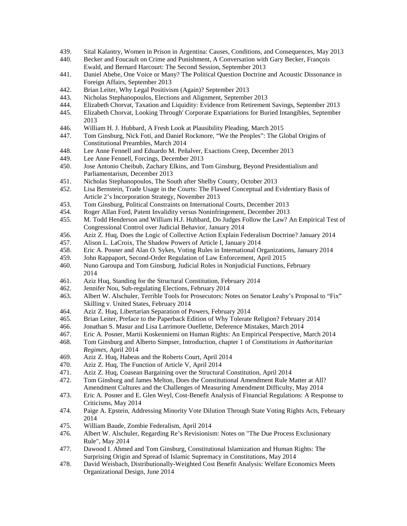- 439. Sital Kalantry, Women in Prison in Argentina: Causes, Conditions, and Consequences, May 2013<br>440. Becker and Foucault on Crime and Punishment, A Conversation with Gary Becker, Francois
- 440. Becker and Foucault on Crime and Punishment, A Conversation with Gary Becker, François Ewald, and Bernard Harcourt: The Second Session, September 2013
- 441. Daniel Abebe, One Voice or Many? The Political Question Doctrine and Acoustic Dissonance in Foreign Affairs, September 2013
- 442. Brian Leiter, Why Legal Positivism (Again)? September 2013
- 443. Nicholas Stephanopoulos, Elections and Alignment, September 2013
- 444. Elizabeth Chorvat, Taxation and Liquidity: Evidence from Retirement Savings, September 2013
- 445. Elizabeth Chorvat, Looking Through' Corporate Expatriations for Buried Intangibles, September 2013
- 446. William H. J. Hubbard, A Fresh Look at Plausibility Pleading, March 2015
- 447. Tom Ginsburg, Nick Foti, and Daniel Rockmore, "We the Peoples": The Global Origins of Constitutional Preambles, March 2014
- 448. Lee Anne Fennell and Eduardo M. Peñalver, Exactions Creep, December 2013
- 449. Lee Anne Fennell, Forcings, December 2013
- 450. Jose Antonio Cheibub, Zachary Elkins, and Tom Ginsburg, Beyond Presidentialism and Parliamentarism, December 2013
- 451. Nicholas Stephanopoulos, The South after Shelby County, October 2013
- 452. Lisa Bernstein, Trade Usage in the Courts: The Flawed Conceptual and Evidentiary Basis of Article 2's Incorporation Strategy, November 2013
- 453. Tom Ginsburg, Political Constraints on International Courts, December 2013
- 454. Roger Allan Ford, Patent Invalidity versus Noninfringement, December 2013
- 455. M. Todd Henderson and William H.J. Hubbard, Do Judges Follow the Law? An Empirical Test of Congressional Control over Judicial Behavior, January 2014
- 456. Aziz Z. Huq, Does the Logic of Collective Action Explain Federalism Doctrine? January 2014
- 457. Alison L. LaCroix, The Shadow Powers of Article I, January 2014
- 458. Eric A. Posner and Alan O. Sykes, Voting Rules in International Organizations, January 2014
- 459. John Rappaport, Second-Order Regulation of Law Enforcement, April 2015
- 460. Nuno Garoupa and Tom Ginsburg, Judicial Roles in Nonjudicial Functions, February 2014
- 461. Aziz Huq, Standing for the Structural Constitution, February 2014
- 462. Jennifer Nou, Sub-regulating Elections, February 2014
- 463. Albert W. Alschuler, Terrible Tools for Prosecutors: Notes on Senator Leahy's Proposal to "Fix" Skilling v. United States, February 2014
- 464. Aziz Z. Huq, Libertarian Separation of Powers, February 2014
- 465. Brian Leiter, Preface to the Paperback Edition of Why Tolerate Religion? February 2014
- 466. Jonathan S. Masur and Lisa Larrimore Ouellette, Deference Mistakes, March 2014
- 467. Eric A. Posner, Martii Koskenniemi on Human Rights: An Empirical Perspective, March 2014
- 468. Tom Ginsburg and Alberto Simpser, Introduction, chapter 1 of *Constitutions in Authoritarian Regimes,* April 2014
- 469. Aziz Z. Huq, Habeas and the Roberts Court, April 2014
- 470. Aziz Z. Huq, The Function of Article V, April 2014
- 471. Aziz Z. Huq, Coasean Bargaining over the Structural Constitution, April 2014<br>472. Tom Ginsburg and James Melton, Does the Constitutional Amendment Rule M
- Tom Ginsburg and James Melton, Does the Constitutional Amendment Rule Matter at All? Amendment Cultures and the Challenges of Measuring Amendment Difficulty, May 2014
- 473. Eric A. Posner and E. Glen Weyl, Cost-Benefit Analysis of Financial Regulations: A Response to Criticisms, May 2014
- 474. Paige A. Epstein, Addressing Minority Vote Dilution Through State Voting Rights Acts, February 2014
- 475. William Baude, Zombie Federalism, April 2014
- 476. Albert W. Alschuler, Regarding Re's Revisionism: Notes on "The Due Process Exclusionary Rule", May 2014
- 477. Dawood I. Ahmed and Tom Ginsburg, Constitutional Islamization and Human Rights: The Surprising Origin and Spread of Islamic Supremacy in Constitutions, May 2014
- 478. David Weisbach, Distributionally-Weighted Cost Benefit Analysis: Welfare Economics Meets Organizational Design, June 2014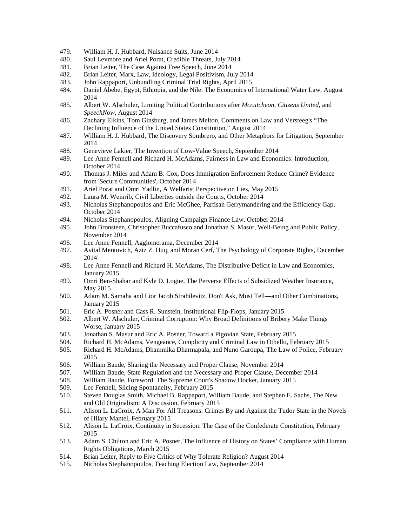- 479. William H. J. Hubbard, Nuisance Suits, June 2014
- 480. Saul Levmore and Ariel Porat, Credible Threats, July 2014
- 481. Brian Leiter, The Case Against Free Speech, June 2014
- 482. Brian Leiter, Marx, Law, Ideology, Legal Positivism, July 2014
- 483. John Rappaport, Unbundling Criminal Trial Rights, April 2015
- 484. Daniel Abebe, Egypt, Ethiopia, and the Nile: The Economics of International Water Law, August 2014
- 485. Albert W. Alschuler, Limiting Political Contributions after *Mccutcheon, Citizens United,* and *SpeechNow,* August 2014
- 486. Zachary Elkins, Tom Ginsburg, and James Melton, Comments on Law and Versteeg's "The Declining Influence of the United States Constitution," August 2014
- 487. William H. J. Hubbard, The Discovery Sombrero, and Other Metaphors for Litigation, September 2014
- 488. Genevieve Lakier, The Invention of Low-Value Speech, September 2014
- 489. Lee Anne Fennell and Richard H. McAdams, Fairness in Law and Economics: Introduction, October 2014
- 490. Thomas J. Miles and Adam B. Cox, Does Immigration Enforcement Reduce Crime? Evidence from 'Secure Communities', October 2014
- 491. Ariel Porat and Omri Yadlin, A Welfarist Perspective on Lies, May 2015<br>492. Laura M. Weinrib. Civil Liberties outside the Courts. October 2014
- Laura M. Weinrib, Civil Liberties outside the Courts, October 2014
- 493. Nicholas Stephanopoulos and Eric McGhee, Partisan Gerrymandering and the Efficiency Gap, October 2014
- 494. Nicholas Stephanopoulos, Aligning Campaign Finance Law, October 2014
- 495. John Bronsteen, Christopher Buccafusco and Jonathan S. Masur, Well-Being and Public Policy, November 2014
- 496. Lee Anne Fennell, Agglomerama, December 2014
- 497. Avital Mentovich, Aziz Z. Huq, and Moran Cerf, The Psychology of Corporate Rights, December 2014
- 498. Lee Anne Fennell and Richard H. McAdams, The Distributive Deficit in Law and Economics, January 2015
- 499. Omri Ben-Shahar and Kyle D. Logue, The Perverse Effects of Subsidized Weather Insurance, May 2015
- 500. Adam M. Samaha and Lior Jacob Strahilevitz, Don't Ask, Must Tell—and Other Combinations, January 2015
- 501. Eric A. Posner and Cass R. Sunstein, Institutional Flip-Flops, January 2015
- 502. Albert W. Alschuler, Criminal Corruption: Why Broad Definitions of Bribery Make Things Worse, January 2015
- 503. Jonathan S. Masur and Eric A. Posner, Toward a Pigovian State, February 2015
- 504. Richard H. McAdams, Vengeance, Complicity and Criminal Law in Othello, February 2015
- 505. Richard H. McAdams, Dhammika Dharmapala, and Nuno Garoupa, The Law of Police, February 2015
- 506. William Baude, Sharing the Necessary and Proper Clause, November 2014
- 507. William Baude, State Regulation and the Necessary and Proper Clause, December 2014
- 508. William Baude, Foreword: The Supreme Court's Shadow Docket, January 2015
- 509. Lee Fennell, Slicing Spontaneity, February 2015
- 510. Steven Douglas Smith, Michael B. Rappaport, William Baude, and Stephen E. Sachs, The New and Old Originalism: A Discussion, February 2015
- 511. Alison L. LaCroix, A Man For All Treasons: Crimes By and Against the Tudor State in the Novels of Hilary Mantel, February 2015
- 512. Alison L. LaCroix, Continuity in Secession: The Case of the Confederate Constitution, February 2015
- 513. Adam S. Chilton and Eric A. Posner, The Influence of History on States' Compliance with Human Rights Obligations, March 2015
- 514. Brian Leiter, Reply to Five Critics of Why Tolerate Religion? August 2014
- 515. Nicholas Stephanopoulos, Teaching Election Law, September 2014